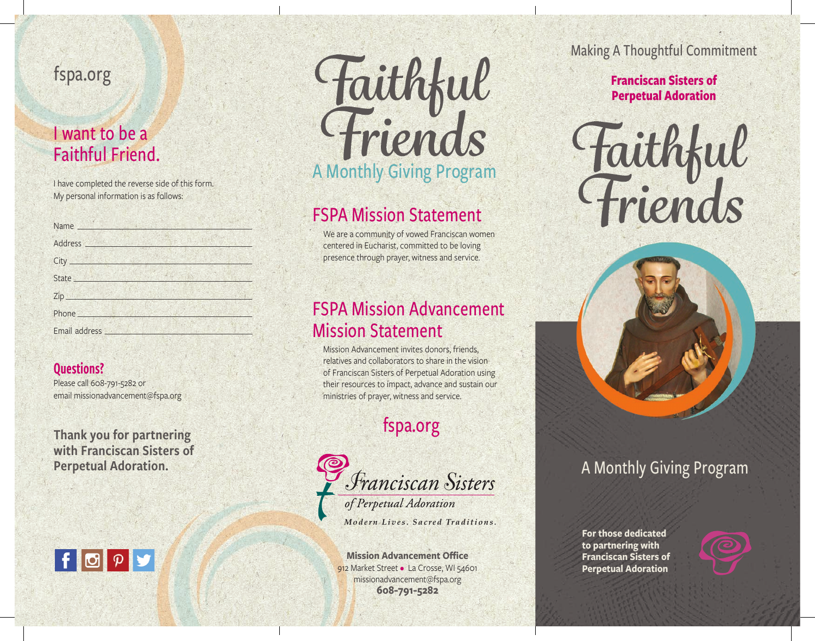# fspa.org

## I want to be a Faithful Friend.

I have completed the reverse side of this form. My personal information is as follows:

| Address <b>Address</b>                                                                                                                                                                                                               |  |  |
|--------------------------------------------------------------------------------------------------------------------------------------------------------------------------------------------------------------------------------------|--|--|
|                                                                                                                                                                                                                                      |  |  |
| State <u>state</u>                                                                                                                                                                                                                   |  |  |
|                                                                                                                                                                                                                                      |  |  |
|                                                                                                                                                                                                                                      |  |  |
| Email address <b>Figure 100 Figure 100 Figure 100 Figure 100 Figure 100 Figure 100 Figure 100 Figure 100 Figure 100 Figure 100 Figure 100 Figure 100 Figure 100 Figure 100 Figure 100 Figure 100 Figure 100 Figure 100 Figure 10</b> |  |  |

#### Questions?

Please call 608-791-5282 or email missionadvancement@fspa.org

Thank you for partnering with Franciscan Sisters of Perpetual Adoration.





# FSPA Mission Statement

We are a community of vowed Franciscan women centered in Eucharist, committed to be loving presence through prayer, witness and service.

### FSPA Mission Advancement Mission Statement

Mission Advancement invites donors, friends, relatives and collaborators to share in the vision of Franciscan Sisters of Perpetual Adoration using their resources to impact, advance and sustain our ministries of prayer, witness and service.

# fspa.org



**Mission Advancement Office** 912 Market Street • La Crosse, WI 54601 missionadvancement@fspa.org **608-791-5282**

Making A Thoughtful Commitment

### **Franciscan Sisters of Perpetual Adoration**





## A Monthly Giving Program

**For those dedicated to partnering with Franciscan Sisters of Perpetual Adoration**